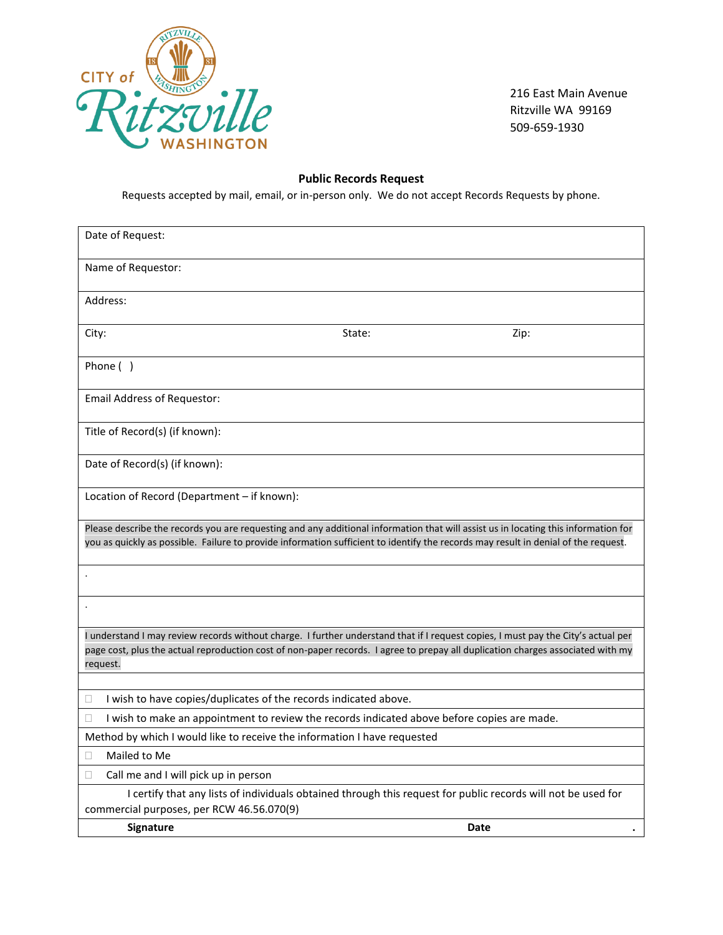

216 East Main Avenue Ritzville WA 99169 509-659-1930

## **Public Records Request**

Requests accepted by mail, email, or in-person only. We do not accept Records Requests by phone.

| Date of Request:                                                                                                                                                                                                                                                     |                                                                                             |        |                                                                                                               |  |  |
|----------------------------------------------------------------------------------------------------------------------------------------------------------------------------------------------------------------------------------------------------------------------|---------------------------------------------------------------------------------------------|--------|---------------------------------------------------------------------------------------------------------------|--|--|
|                                                                                                                                                                                                                                                                      | Name of Requestor:                                                                          |        |                                                                                                               |  |  |
|                                                                                                                                                                                                                                                                      | Address:                                                                                    |        |                                                                                                               |  |  |
|                                                                                                                                                                                                                                                                      |                                                                                             |        |                                                                                                               |  |  |
| City:                                                                                                                                                                                                                                                                |                                                                                             | State: | Zip:                                                                                                          |  |  |
|                                                                                                                                                                                                                                                                      | Phone ()                                                                                    |        |                                                                                                               |  |  |
|                                                                                                                                                                                                                                                                      | <b>Email Address of Requestor:</b>                                                          |        |                                                                                                               |  |  |
| Title of Record(s) (if known):                                                                                                                                                                                                                                       |                                                                                             |        |                                                                                                               |  |  |
|                                                                                                                                                                                                                                                                      | Date of Record(s) (if known):                                                               |        |                                                                                                               |  |  |
|                                                                                                                                                                                                                                                                      | Location of Record (Department - if known):                                                 |        |                                                                                                               |  |  |
|                                                                                                                                                                                                                                                                      |                                                                                             |        |                                                                                                               |  |  |
| Please describe the records you are requesting and any additional information that will assist us in locating this information for                                                                                                                                   |                                                                                             |        |                                                                                                               |  |  |
| you as quickly as possible. Failure to provide information sufficient to identify the records may result in denial of the request.                                                                                                                                   |                                                                                             |        |                                                                                                               |  |  |
|                                                                                                                                                                                                                                                                      |                                                                                             |        |                                                                                                               |  |  |
|                                                                                                                                                                                                                                                                      |                                                                                             |        |                                                                                                               |  |  |
|                                                                                                                                                                                                                                                                      |                                                                                             |        |                                                                                                               |  |  |
| I understand I may review records without charge. I further understand that if I request copies, I must pay the City's actual per<br>page cost, plus the actual reproduction cost of non-paper records. I agree to prepay all duplication charges associated with my |                                                                                             |        |                                                                                                               |  |  |
| request.                                                                                                                                                                                                                                                             |                                                                                             |        |                                                                                                               |  |  |
|                                                                                                                                                                                                                                                                      |                                                                                             |        |                                                                                                               |  |  |
| □                                                                                                                                                                                                                                                                    | I wish to have copies/duplicates of the records indicated above.                            |        |                                                                                                               |  |  |
| $\Box$                                                                                                                                                                                                                                                               | I wish to make an appointment to review the records indicated above before copies are made. |        |                                                                                                               |  |  |
| Method by which I would like to receive the information I have requested                                                                                                                                                                                             |                                                                                             |        |                                                                                                               |  |  |
| П                                                                                                                                                                                                                                                                    | Mailed to Me                                                                                |        |                                                                                                               |  |  |
| $\Box$                                                                                                                                                                                                                                                               | Call me and I will pick up in person                                                        |        |                                                                                                               |  |  |
|                                                                                                                                                                                                                                                                      |                                                                                             |        | I certify that any lists of individuals obtained through this request for public records will not be used for |  |  |
| commercial purposes, per RCW 46.56.070(9)                                                                                                                                                                                                                            |                                                                                             |        |                                                                                                               |  |  |
|                                                                                                                                                                                                                                                                      | <b>Signature</b>                                                                            |        | Date                                                                                                          |  |  |